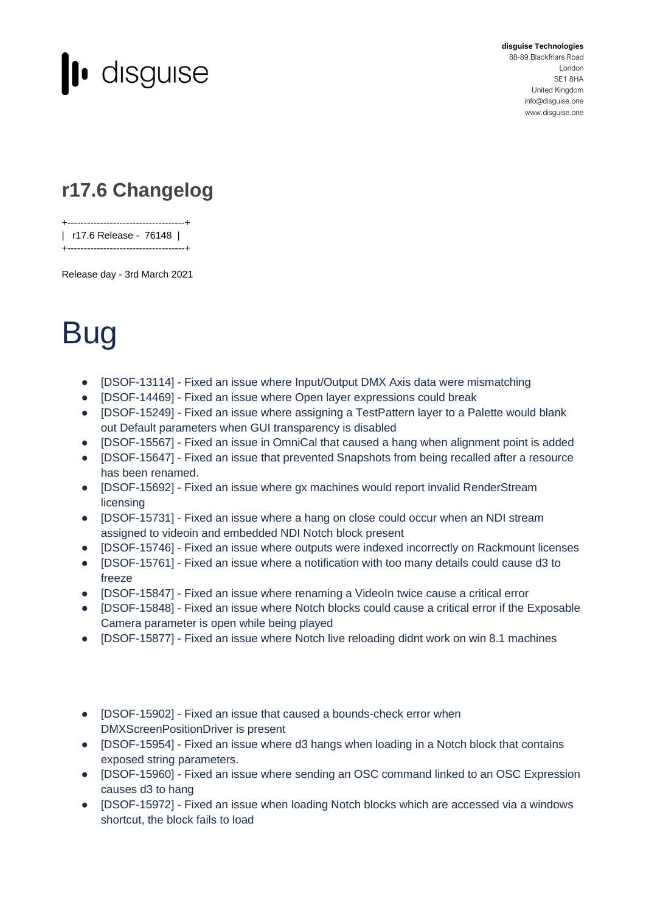

**disguise Technologies**

88-89 Blackfriars Road London SE1 8HA United Kingdom [info@disguise.one](mailto:info@disguise.one?subject=) www.disguise.one

## **r17.6 Changelog**

+------------------------------------+ | r17.6 Release - 76148 |

+------------------------------------+

Release day - 3rd March 2021

## **Bug**

- [DSOF-13114] Fixed an issue where Input/Output DMX Axis data were mismatching
- [DSOF-14469] Fixed an issue where Open layer expressions could break
- [DSOF-15249] Fixed an issue where assigning a TestPattern layer to a Palette would blank out Default parameters when GUI transparency is disabled
- [DSOF-15567] Fixed an issue in OmniCal that caused a hang when alignment point is added
- [DSOF-15647] Fixed an issue that prevented Snapshots from being recalled after a resource has been renamed.
- [DSOF-15692] Fixed an issue where gx machines would report invalid RenderStream licensing
- [DSOF-15731] Fixed an issue where a hang on close could occur when an NDI stream assigned to videoin and embedded NDI Notch block present
- [DSOF-15746] Fixed an issue where outputs were indexed incorrectly on Rackmount licenses
- [DSOF-15761] Fixed an issue where a notification with too many details could cause d3 to freeze
- [DSOF-15847] Fixed an issue where renaming a VideoIn twice cause a critical error
- [DSOF-15848] Fixed an issue where Notch blocks could cause a critical error if the Exposable Camera parameter is open while being played
- [DSOF-15877] Fixed an issue where Notch live reloading didnt work on win 8.1 machines

## ● [DSOF-15902] - Fixed an issue that caused a bounds-check error when DMXScreenPositionDriver is present

- [DSOF-15954] Fixed an issue where d3 hangs when loading in a Notch block that contains exposed string parameters.
- [DSOF-15960] Fixed an issue where sending an OSC command linked to an OSC Expression causes d3 to hang
- [DSOF-15972] Fixed an issue when loading Notch blocks which are accessed via a windows shortcut, the block fails to load